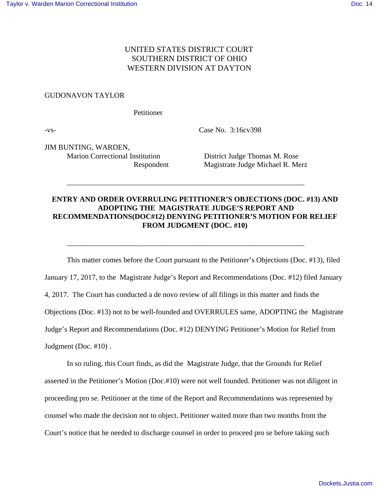## UNITED STATES DISTRICT COURT SOUTHERN DISTRICT OF OHIO WESTERN DIVISION AT DAYTON

## GUDONAVON TAYLOR

Petitioner

-vs- Case No. 3:16cv398

JIM BUNTING, WARDEN, Marion Correctional Institution District Judge Thomas M. Rose

Respondent Magistrate Judge Michael R. Merz

## **ENTRY AND ORDER OVERRULING PETITIONER'S OBJECTIONS (DOC. #13) AND ADOPTING THE MAGISTRATE JUDGE'S REPORT AND RECOMMENDATIONS(DOC#12) DENYING PETITIONER'S MOTION FOR RELIEF FROM JUDGMENT (DOC. #10)**

\_\_\_\_\_\_\_\_\_\_\_\_\_\_\_\_\_\_\_\_\_\_\_\_\_\_\_\_\_\_\_\_\_\_\_\_\_\_\_\_\_\_\_\_\_\_\_\_\_\_\_\_\_\_\_\_\_\_\_\_\_\_\_\_

\_\_\_\_\_\_\_\_\_\_\_\_\_\_\_\_\_\_\_\_\_\_\_\_\_\_\_\_\_\_\_\_\_\_\_\_\_\_\_\_\_\_\_\_\_\_\_\_\_\_\_\_\_\_\_\_\_\_\_\_\_\_\_\_

This matter comes before the Court pursuant to the Petitioner's Objections (Doc. #13), filed January 17, 2017, to the Magistrate Judge's Report and Recommendations (Doc. #12) filed January 4, 2017. The Court has conducted a de novo review of all filings in this matter and finds the Objections (Doc. #13) not to be well-founded and OVERRULES same, ADOPTING the Magistrate Judge's Report and Recommendations (Doc. #12) DENYING Petitioner's Motion for Relief from Judgment (Doc. #10) .

In so ruling, this Court finds, as did the Magistrate Judge, that the Grounds for Relief asserted in the Petitioner's Motion (Doc.#10) were not well founded. Petitioner was not diligent in proceeding pro se. Petitioner at the time of the Report and Recommendations was represented by counsel who made the decision not to object. Petitioner waited more than two months from the Court's notice that he needed to discharge counsel in order to proceed pro se before taking such